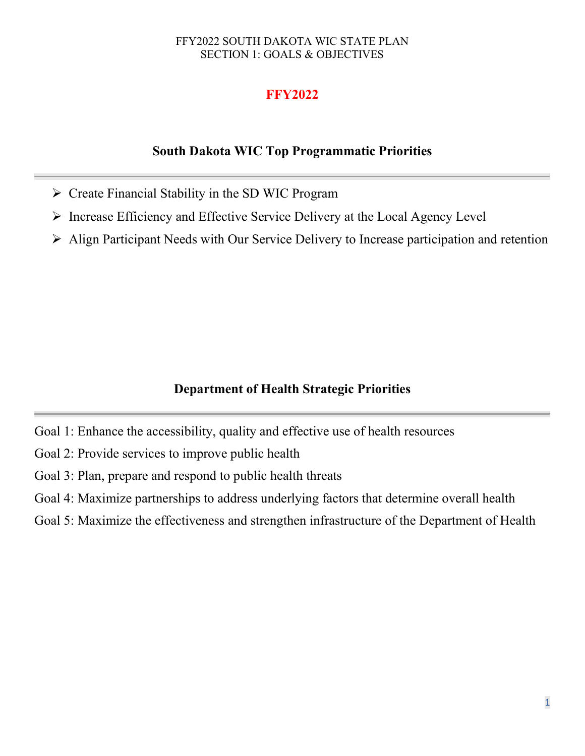# **FFY2022**

# **South Dakota WIC Top Programmatic Priorities**

- $\triangleright$  Create Financial Stability in the SD WIC Program
- $\triangleright$  Increase Efficiency and Effective Service Delivery at the Local Agency Level
- Align Participant Needs with Our Service Delivery to Increase participation and retention

# **Department of Health Strategic Priorities**

- Goal 1: Enhance the accessibility, quality and effective use of health resources
- Goal 2: Provide services to improve public health
- Goal 3: Plan, prepare and respond to public health threats
- Goal 4: Maximize partnerships to address underlying factors that determine overall health
- Goal 5: Maximize the effectiveness and strengthen infrastructure of the Department of Health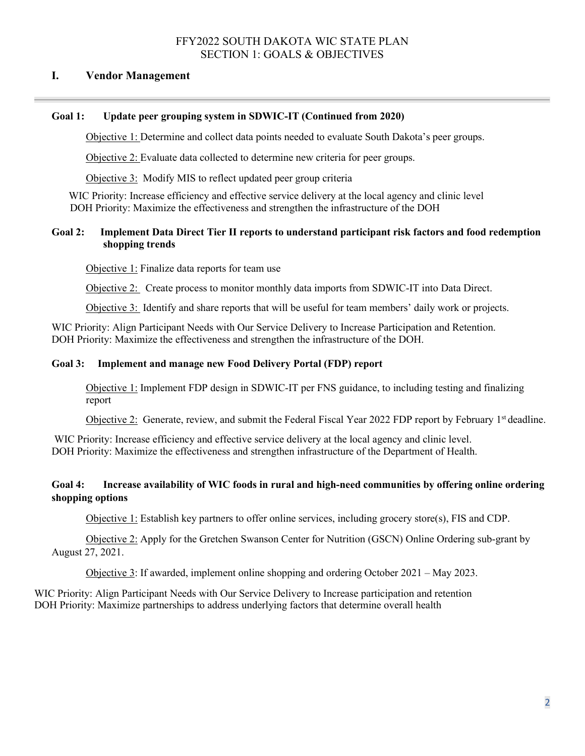### **I. Vendor Management**

### **Goal 1: Update peer grouping system in SDWIC-IT (Continued from 2020)**

Objective 1: Determine and collect data points needed to evaluate South Dakota's peer groups.

Objective 2: Evaluate data collected to determine new criteria for peer groups.

Objective 3: Modify MIS to reflect updated peer group criteria

WIC Priority: Increase efficiency and effective service delivery at the local agency and clinic level DOH Priority: Maximize the effectiveness and strengthen the infrastructure of the DOH

### **Goal 2: Implement Data Direct Tier II reports to understand participant risk factors and food redemption shopping trends**

Objective 1: Finalize data reports for team use

Objective 2: Create process to monitor monthly data imports from SDWIC-IT into Data Direct.

Objective 3: Identify and share reports that will be useful for team members' daily work or projects.

WIC Priority: Align Participant Needs with Our Service Delivery to Increase Participation and Retention. DOH Priority: Maximize the effectiveness and strengthen the infrastructure of the DOH.

#### **Goal 3: Implement and manage new Food Delivery Portal (FDP) report**

Objective 1: Implement FDP design in SDWIC-IT per FNS guidance, to including testing and finalizing report

Objective 2: Generate, review, and submit the Federal Fiscal Year 2022 FDP report by February 1st deadline.

WIC Priority: Increase efficiency and effective service delivery at the local agency and clinic level. DOH Priority: Maximize the effectiveness and strengthen infrastructure of the Department of Health.

### **Goal 4: Increase availability of WIC foods in rural and high-need communities by offering online ordering shopping options**

Objective 1: Establish key partners to offer online services, including grocery store(s), FIS and CDP.

Objective 2: Apply for the Gretchen Swanson Center for Nutrition (GSCN) Online Ordering sub-grant by August 27, 2021.

Objective 3: If awarded, implement online shopping and ordering October 2021 – May 2023.

WIC Priority: Align Participant Needs with Our Service Delivery to Increase participation and retention DOH Priority: Maximize partnerships to address underlying factors that determine overall health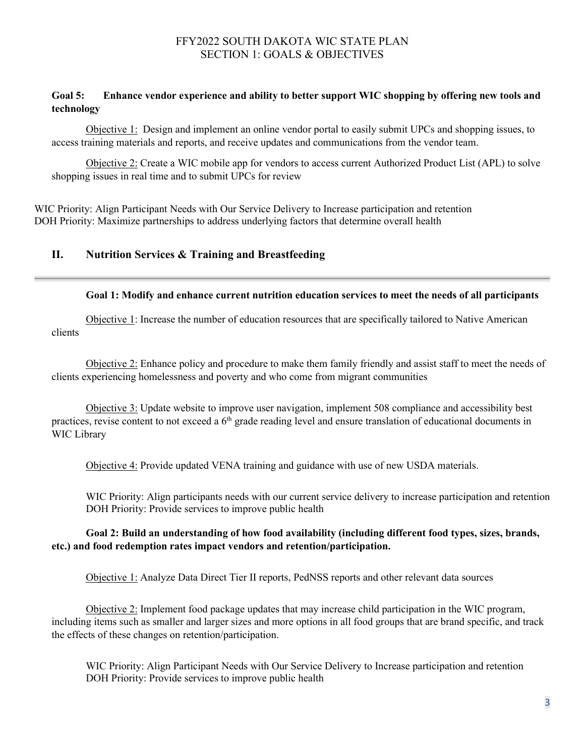### **Goal 5: Enhance vendor experience and ability to better support WIC shopping by offering new tools and technology**

Objective 1: Design and implement an online vendor portal to easily submit UPCs and shopping issues, to access training materials and reports, and receive updates and communications from the vendor team.

Objective 2: Create a WIC mobile app for vendors to access current Authorized Product List (APL) to solve shopping issues in real time and to submit UPCs for review

WIC Priority: Align Participant Needs with Our Service Delivery to Increase participation and retention DOH Priority: Maximize partnerships to address underlying factors that determine overall health

# **II. Nutrition Services & Training and Breastfeeding**

#### **Goal 1: Modify and enhance current nutrition education services to meet the needs of all participants**

Objective 1: Increase the number of education resources that are specifically tailored to Native American clients

Objective 2: Enhance policy and procedure to make them family friendly and assist staff to meet the needs of clients experiencing homelessness and poverty and who come from migrant communities

Objective 3: Update website to improve user navigation, implement 508 compliance and accessibility best practices, revise content to not exceed a 6<sup>th</sup> grade reading level and ensure translation of educational documents in WIC Library

Objective 4: Provide updated VENA training and guidance with use of new USDA materials.

WIC Priority: Align participants needs with our current service delivery to increase participation and retention DOH Priority: Provide services to improve public health

### **Goal 2: Build an understanding of how food availability (including different food types, sizes, brands, etc.) and food redemption rates impact vendors and retention/participation.**

Objective 1: Analyze Data Direct Tier II reports, PedNSS reports and other relevant data sources

Objective 2: Implement food package updates that may increase child participation in the WIC program, including items such as smaller and larger sizes and more options in all food groups that are brand specific, and track the effects of these changes on retention/participation.

WIC Priority: Align Participant Needs with Our Service Delivery to Increase participation and retention DOH Priority: Provide services to improve public health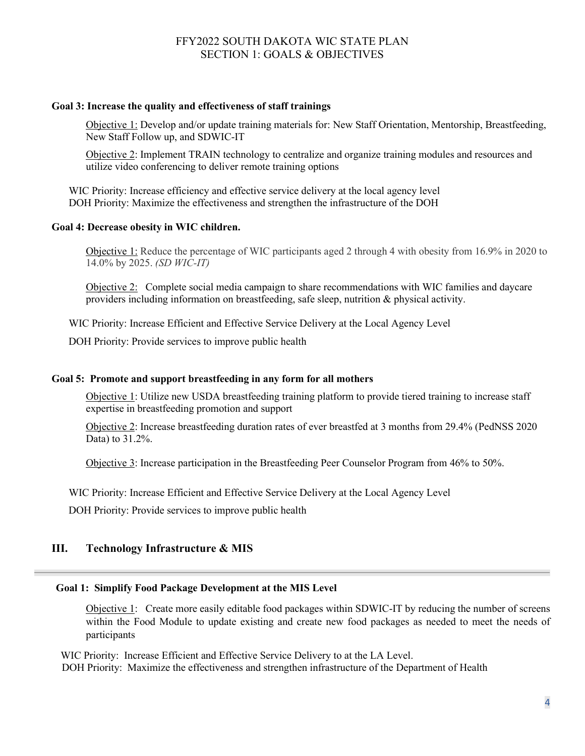#### **Goal 3: Increase the quality and effectiveness of staff trainings**

Objective 1: Develop and/or update training materials for: New Staff Orientation, Mentorship, Breastfeeding, New Staff Follow up, and SDWIC-IT

Objective 2: Implement TRAIN technology to centralize and organize training modules and resources and utilize video conferencing to deliver remote training options

WIC Priority: Increase efficiency and effective service delivery at the local agency level DOH Priority: Maximize the effectiveness and strengthen the infrastructure of the DOH

### **Goal 4: Decrease obesity in WIC children.**

Objective 1: Reduce the percentage of WIC participants aged 2 through 4 with obesity from 16.9% in 2020 to 14.0% by 2025. *(SD WIC-IT)*

Objective 2:Complete social media campaign to share recommendations with WIC families and daycare providers including information on breastfeeding, safe sleep, nutrition & physical activity.

WIC Priority: Increase Efficient and Effective Service Delivery at the Local Agency Level

DOH Priority: Provide services to improve public health

#### **Goal 5: Promote and support breastfeeding in any form for all mothers**

Objective 1: Utilize new USDA breastfeeding training platform to provide tiered training to increase staff expertise in breastfeeding promotion and support

Objective 2: Increase breastfeeding duration rates of ever breastfed at 3 months from 29.4% (PedNSS 2020 Data) to 31.2%.

Objective 3: Increase participation in the Breastfeeding Peer Counselor Program from 46% to 50%.

WIC Priority: Increase Efficient and Effective Service Delivery at the Local Agency Level

DOH Priority: Provide services to improve public health

### **III. Technology Infrastructure & MIS**

### **Goal 1: Simplify Food Package Development at the MIS Level**

Objective 1: Create more easily editable food packages within SDWIC-IT by reducing the number of screens within the Food Module to update existing and create new food packages as needed to meet the needs of participants

 WIC Priority: Increase Efficient and Effective Service Delivery to at the LA Level. DOH Priority: Maximize the effectiveness and strengthen infrastructure of the Department of Health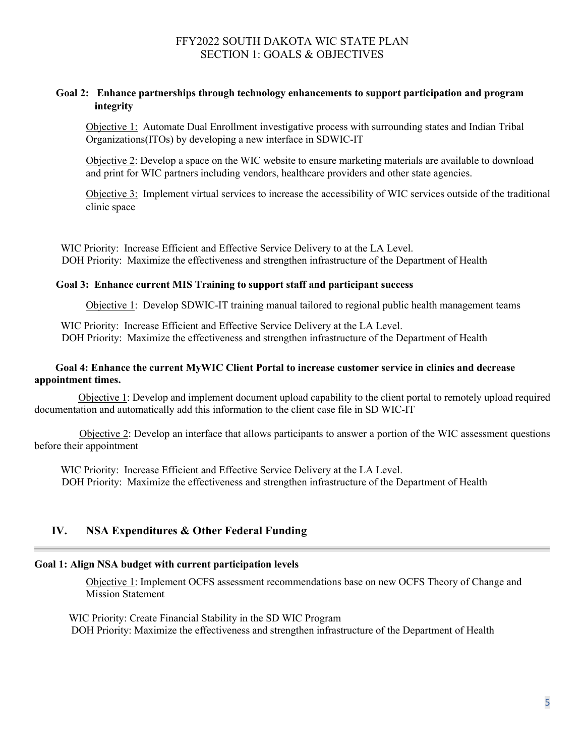### **Goal 2: Enhance partnerships through technology enhancements to support participation and program integrity**

Objective 1: Automate Dual Enrollment investigative process with surrounding states and Indian Tribal Organizations(ITOs) by developing a new interface in SDWIC-IT

Objective 2: Develop a space on the WIC website to ensure marketing materials are available to download and print for WIC partners including vendors, healthcare providers and other state agencies.

Objective 3: Implement virtual services to increase the accessibility of WIC services outside of the traditional clinic space

 WIC Priority: Increase Efficient and Effective Service Delivery to at the LA Level. DOH Priority: Maximize the effectiveness and strengthen infrastructure of the Department of Health

#### **Goal 3: Enhance current MIS Training to support staff and participant success**

Objective 1: Develop SDWIC-IT training manual tailored to regional public health management teams

 WIC Priority: Increase Efficient and Effective Service Delivery at the LA Level. DOH Priority: Maximize the effectiveness and strengthen infrastructure of the Department of Health

#### **Goal 4: Enhance the current MyWIC Client Portal to increase customer service in clinics and decrease appointment times.**

Objective 1: Develop and implement document upload capability to the client portal to remotely upload required documentation and automatically add this information to the client case file in SD WIC-IT

 Objective 2: Develop an interface that allows participants to answer a portion of the WIC assessment questions before their appointment

 WIC Priority: Increase Efficient and Effective Service Delivery at the LA Level. DOH Priority: Maximize the effectiveness and strengthen infrastructure of the Department of Health

### **IV. NSA Expenditures & Other Federal Funding**

#### **Goal 1: Align NSA budget with current participation levels**

Objective 1: Implement OCFS assessment recommendations base on new OCFS Theory of Change and Mission Statement

WIC Priority: Create Financial Stability in the SD WIC Program DOH Priority: Maximize the effectiveness and strengthen infrastructure of the Department of Health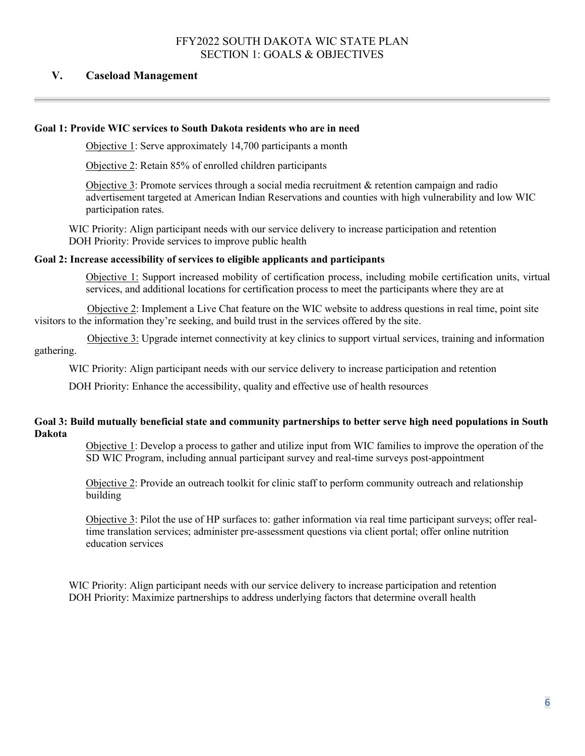# **V. Caseload Management**

# **Goal 1: Provide WIC services to South Dakota residents who are in need**

Objective 1: Serve approximately 14,700 participants a month

Objective 2: Retain 85% of enrolled children participants

Objective 3: Promote services through a social media recruitment  $\&$  retention campaign and radio advertisement targeted at American Indian Reservations and counties with high vulnerability and low WIC participation rates.

WIC Priority: Align participant needs with our service delivery to increase participation and retention DOH Priority: Provide services to improve public health

#### **Goal 2: Increase accessibility of services to eligible applicants and participants**

Objective 1: Support increased mobility of certification process, including mobile certification units, virtual services, and additional locations for certification process to meet the participants where they are at

 Objective 2: Implement a Live Chat feature on the WIC website to address questions in real time, point site visitors to the information they're seeking, and build trust in the services offered by the site.

 Objective 3: Upgrade internet connectivity at key clinics to support virtual services, training and information gathering.

WIC Priority: Align participant needs with our service delivery to increase participation and retention

DOH Priority: Enhance the accessibility, quality and effective use of health resources

### **Goal 3: Build mutually beneficial state and community partnerships to better serve high need populations in South Dakota**

Objective 1: Develop a process to gather and utilize input from WIC families to improve the operation of the SD WIC Program, including annual participant survey and real-time surveys post-appointment

Objective 2: Provide an outreach toolkit for clinic staff to perform community outreach and relationship building

Objective 3: Pilot the use of HP surfaces to: gather information via real time participant surveys; offer realtime translation services; administer pre-assessment questions via client portal; offer online nutrition education services

WIC Priority: Align participant needs with our service delivery to increase participation and retention DOH Priority: Maximize partnerships to address underlying factors that determine overall health